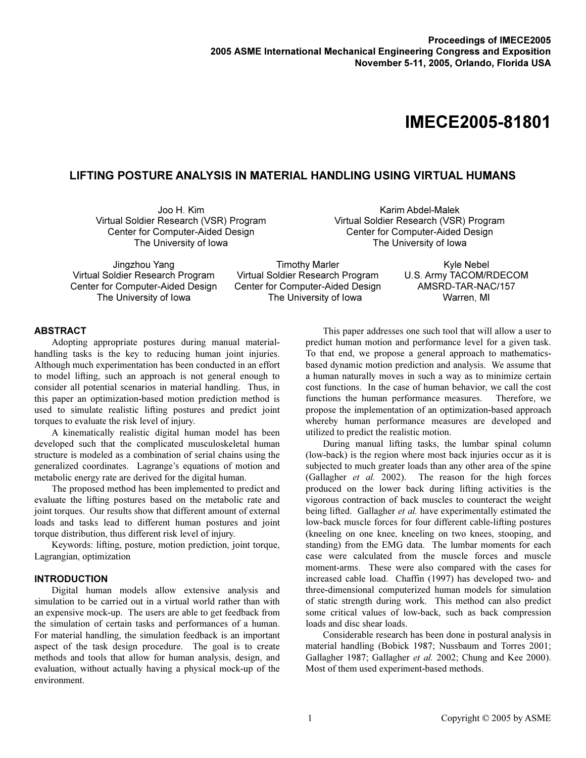# IMECE2005-81801

# LIFTING POSTURE ANALYSIS IN MATERIAL HANDLING USING VIRTUAL HUMANS

Joo H. Kim Virtual Soldier Research (VSR) Program Center for Computer-Aided Design The University of Iowa

Jingzhou Yang Virtual Soldier Research Program Center for Computer-Aided Design The University of Iowa

Timothy Marler Virtual Soldier Research Program Center for Computer-Aided Design The University of Iowa

Kyle Nebel U.S. Army TACOM/RDECOM AMSRD-TAR-NAC/157 Warren, MI

## **ABSTRACT**

Adopting appropriate postures during manual materialhandling tasks is the key to reducing human joint injuries. Although much experimentation has been conducted in an effort to model lifting, such an approach is not general enough to consider all potential scenarios in material handling. Thus, in this paper an optimization-based motion prediction method is used to simulate realistic lifting postures and predict joint torques to evaluate the risk level of injury.

A kinematically realistic digital human model has been developed such that the complicated musculoskeletal human structure is modeled as a combination of serial chains using the generalized coordinates. Lagrange's equations of motion and metabolic energy rate are derived for the digital human.

The proposed method has been implemented to predict and evaluate the lifting postures based on the metabolic rate and joint torques. Our results show that different amount of external loads and tasks lead to different human postures and joint torque distribution, thus different risk level of injury.

Keywords: lifting, posture, motion prediction, joint torque, Lagrangian, optimization

## **INTRODUCTION**

Digital human models allow extensive analysis and simulation to be carried out in a virtual world rather than with an expensive mock-up. The users are able to get feedback from the simulation of certain tasks and performances of a human. For material handling, the simulation feedback is an important aspect of the task design procedure. The goal is to create methods and tools that allow for human analysis, design, and evaluation, without actually having a physical mock-up of the environment.

This paper addresses one such tool that will allow a user to predict human motion and performance level for a given task. To that end, we propose a general approach to mathematicsbased dynamic motion prediction and analysis. We assume that a human naturally moves in such a way as to minimize certain cost functions. In the case of human behavior, we call the cost functions the human performance measures. Therefore, we propose the implementation of an optimization-based approach whereby human performance measures are developed and utilized to predict the realistic motion.

Karim Abdel-Malek Virtual Soldier Research (VSR) Program Center for Computer-Aided Design The University of Iowa

During manual lifting tasks, the lumbar spinal column (low-back) is the region where most back injuries occur as it is subjected to much greater loads than any other area of the spine (Gallagher et al. 2002). The reason for the high forces produced on the lower back during lifting activities is the vigorous contraction of back muscles to counteract the weight being lifted. Gallagher et al. have experimentally estimated the low-back muscle forces for four different cable-lifting postures (kneeling on one knee, kneeling on two knees, stooping, and standing) from the EMG data. The lumbar moments for each case were calculated from the muscle forces and muscle moment-arms. These were also compared with the cases for increased cable load. Chaffin (1997) has developed two- and three-dimensional computerized human models for simulation of static strength during work. This method can also predict some critical values of low-back, such as back compression loads and disc shear loads.

Considerable research has been done in postural analysis in material handling (Bobick 1987; Nussbaum and Torres 2001; Gallagher 1987; Gallagher et al. 2002; Chung and Kee 2000). Most of them used experiment-based methods.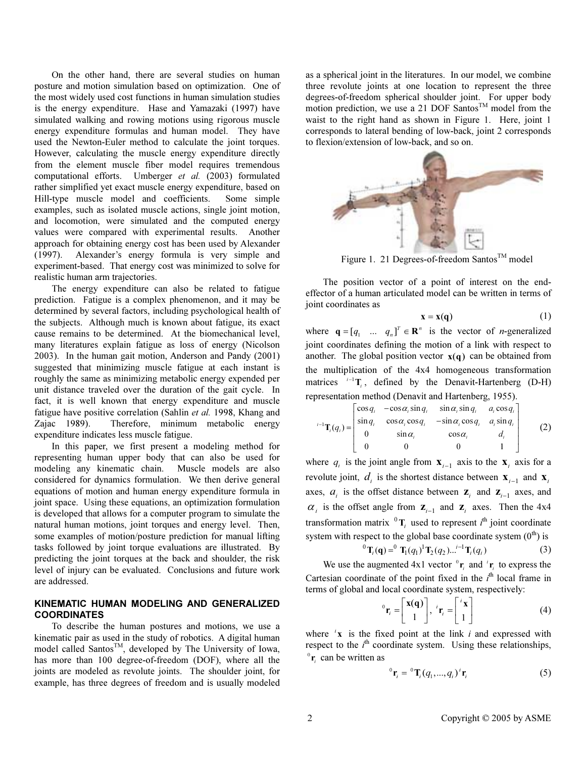On the other hand, there are several studies on human posture and motion simulation based on optimization. One of the most widely used cost functions in human simulation studies is the energy expenditure. Hase and Yamazaki (1997) have simulated walking and rowing motions using rigorous muscle energy expenditure formulas and human model. They have used the Newton-Euler method to calculate the joint torques. However, calculating the muscle energy expenditure directly from the element muscle fiber model requires tremendous computational efforts. Umberger et al. (2003) formulated rather simplified yet exact muscle energy expenditure, based on Hill-type muscle model and coefficients. Some simple examples, such as isolated muscle actions, single joint motion, and locomotion, were simulated and the computed energy values were compared with experimental results. Another approach for obtaining energy cost has been used by Alexander (1997). Alexander's energy formula is very simple and experiment-based. That energy cost was minimized to solve for realistic human arm trajectories.

The energy expenditure can also be related to fatigue prediction. Fatigue is a complex phenomenon, and it may be determined by several factors, including psychological health of the subjects. Although much is known about fatigue, its exact cause remains to be determined. At the biomechanical level, many literatures explain fatigue as loss of energy (Nicolson 2003). In the human gait motion, Anderson and Pandy (2001) suggested that minimizing muscle fatigue at each instant is roughly the same as minimizing metabolic energy expended per unit distance traveled over the duration of the gait cycle. In fact, it is well known that energy expenditure and muscle fatigue have positive correlation (Sahlin et al. 1998, Khang and Zajac 1989). Therefore, minimum metabolic energy expenditure indicates less muscle fatigue.

In this paper, we first present a modeling method for representing human upper body that can also be used for modeling any kinematic chain. Muscle models are also considered for dynamics formulation. We then derive general equations of motion and human energy expenditure formula in joint space. Using these equations, an optimization formulation is developed that allows for a computer program to simulate the natural human motions, joint torques and energy level. Then, some examples of motion/posture prediction for manual lifting tasks followed by joint torque evaluations are illustrated. By predicting the joint torques at the back and shoulder, the risk level of injury can be evaluated. Conclusions and future work are addressed.

#### KINEMATIC HUMAN MODELING AND GENERALIZED **COORDINATES**

To describe the human postures and motions, we use a kinematic pair as used in the study of robotics. A digital human model called Santos<sup>TM</sup>, developed by The University of Iowa, has more than 100 degree-of-freedom (DOF), where all the joints are modeled as revolute joints. The shoulder joint, for example, has three degrees of freedom and is usually modeled as a spherical joint in the literatures. In our model, we combine three revolute joints at one location to represent the three degrees-of-freedom spherical shoulder joint. For upper body motion prediction, we use a 21 DOF Santos<sup>TM</sup> model from the waist to the right hand as shown in Figure 1. Here, joint 1 corresponds to lateral bending of low-back, joint 2 corresponds to flexion/extension of low-back, and so on.



Figure 1. 21 Degrees-of-freedom Santos<sup>TM</sup> model

The position vector of a point of interest on the endeffector of a human articulated model can be written in terms of joint coordinates as

$$
\mathbf{x} = \mathbf{x}(\mathbf{q}) \tag{1}
$$

where  $\mathbf{q} = [q_1 \dots q_n]^T \in \mathbf{R}^n$  is the vector of *n*-generalized joint coordinates defining the motion of a link with respect to another. The global position vector  $x(q)$  can be obtained from the multiplication of the 4x4 homogeneous transformation matrices  $i^{-1}$ **T**<sub>i</sub>, defined by the Denavit-Hartenberg (D-H) representation method (Denavit and Hartenberg, 1955).

$$
{}^{i-1}\mathbf{T}_i(q_i) = \begin{bmatrix} \cos q_i & -\cos \alpha_i \sin q_i & \sin \alpha_i \sin q_i & a_i \cos q_i \\ \sin q_i & \cos \alpha_i \cos q_i & -\sin \alpha_i \cos q_i & a_i \sin q_i \\ 0 & \sin \alpha_i & \cos \alpha_i & d_i \\ 0 & 0 & 0 & 1 \end{bmatrix} \tag{2}
$$

where  $q_i$  is the joint angle from  $\mathbf{x}_{i-1}$  axis to the  $\mathbf{x}_i$  axis for a revolute joint,  $d_i$  is the shortest distance between  $\mathbf{x}_{i-1}$  and  $\mathbf{x}_i$ axes,  $a_i$  is the offset distance between  $\mathbf{z}_i$  and  $\mathbf{z}_{i-1}$  axes, and  $\alpha_i$  is the offset angle from  $\mathbf{z}_{i-1}$  and  $\mathbf{z}_i$  axes. Then the 4x4 transformation matrix  ${}^{0}T_{i}$  used to represent  $i^{\text{th}}$  joint coordinate system with respect to the global base coordinate system  $(0<sup>th</sup>)$  is  ${}^{0}$  T<sub>i</sub>(q) =  ${}^{0}$  T<sub>1</sub>(q<sub>1</sub>)<sup>1</sup> T<sub>2</sub>(q<sub>2</sub>)...<sup>*i*-1</sup>

$$
{}^{0}T_{i}(\mathbf{q}) = {}^{0}T_{1}(q_{1}) {}^{1}T_{2}(q_{2}) ... {}^{i-1}T_{i}(q_{i})
$$
\n(3)

We use the augmented  $4x1$  vector  ${}^{0}$ **r**<sub>i</sub> and  ${}^{i}$ **r**<sub>i</sub> to express the Cartesian coordinate of the point fixed in the  $i<sup>th</sup>$  local frame in terms of global and local coordinate system, respectively:

$$
{}^{0}\mathbf{r}_{i} = \begin{bmatrix} \mathbf{x}(\mathbf{q}) \\ 1 \end{bmatrix}, \, {}^{i}\mathbf{r}_{i} = \begin{bmatrix} {}^{i}\mathbf{x} \\ 1 \end{bmatrix} \tag{4}
$$

where 'x is the fixed point at the link i and expressed with respect to the  $i<sup>th</sup>$  coordinate system. Using these relationships,  $\sum_{i=1}^{0}$  r<sub>i</sub> can be written as

$$
{}^{0}\mathbf{r}_{i} = {}^{0}\mathbf{T}_{i}(q_{1},...,q_{i})^{i}\mathbf{r}_{i}
$$
 (5)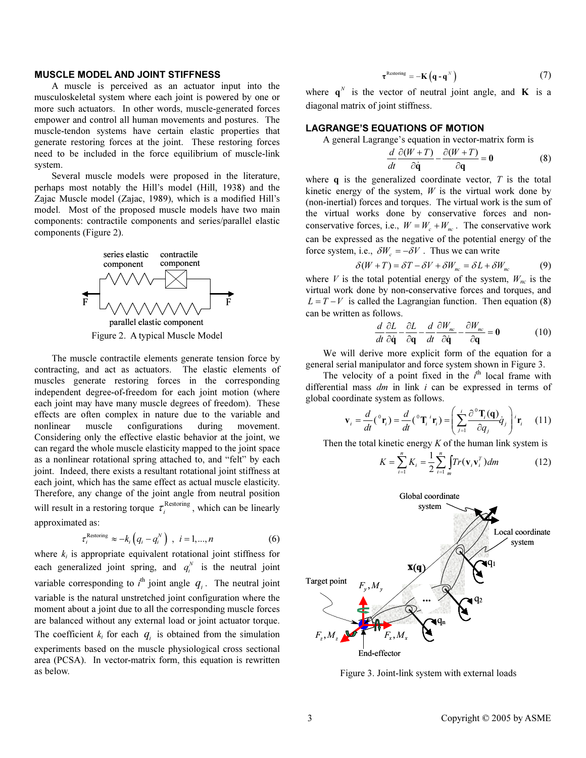## MUSCLE MODEL AND JOINT STIFFNESS

A muscle is perceived as an actuator input into the musculoskeletal system where each joint is powered by one or more such actuators. In other words, muscle-generated forces empower and control all human movements and postures. The muscle-tendon systems have certain elastic properties that generate restoring forces at the joint. These restoring forces need to be included in the force equilibrium of muscle-link system.

Several muscle models were proposed in the literature, perhaps most notably the Hill's model (Hill, 1938) and the Zajac Muscle model (Zajac, 1989), which is a modified Hill's model. Most of the proposed muscle models have two main components: contractile components and series/parallel elastic components (Figure 2).



Figure 2. A typical Muscle Model

The muscle contractile elements generate tension force by contracting, and act as actuators. The elastic elements of muscles generate restoring forces in the corresponding independent degree-of-freedom for each joint motion (where each joint may have many muscle degrees of freedom). These effects are often complex in nature due to the variable and nonlinear muscle configurations during movement. Considering only the effective elastic behavior at the joint, we can regard the whole muscle elasticity mapped to the joint space as a nonlinear rotational spring attached to, and "felt" by each joint. Indeed, there exists a resultant rotational joint stiffness at each joint, which has the same effect as actual muscle elasticity. Therefore, any change of the joint angle from neutral position will result in a restoring torque  $\tau_i^{\text{Restoring}}$ , which can be linearly approximated as:

$$
\tau_i^{\text{Restoring}} \approx -k_i \left( q_i - q_i^N \right) , i = 1,...,n \tag{6}
$$

where  $k_i$  is appropriate equivalent rotational joint stiffness for each generalized joint spring, and  $q_i^N$  is the neutral joint variable corresponding to  $i^{\text{th}}$  joint angle  $q_i$ . The neutral joint variable is the natural unstretched joint configuration where the moment about a joint due to all the corresponding muscle forces are balanced without any external load or joint actuator torque. The coefficient  $k_i$  for each  $q_i$  is obtained from the simulation experiments based on the muscle physiological cross sectional area (PCSA). In vector-matrix form, this equation is rewritten as below.

$$
\boldsymbol{\tau}^{\text{Resoring}} = -\mathbf{K}\left(\mathbf{q} - \mathbf{q}^N\right) \tag{7}
$$

where  $\mathbf{q}^N$  is the vector of neutral joint angle, and **K** is a diagonal matrix of joint stiffness.

#### LAGRANGE'S EQUATIONS OF MOTION

A general Lagrange's equation in vector-matrix form is

$$
\frac{d}{dt}\frac{\partial(W+T)}{\partial \dot{\mathbf{q}}}-\frac{\partial(W+T)}{\partial \mathbf{q}}=\mathbf{0}
$$
 (8)

where  $q$  is the generalized coordinate vector,  $T$  is the total kinetic energy of the system,  $W$  is the virtual work done by (non-inertial) forces and torques. The virtual work is the sum of the virtual works done by conservative forces and nonconservative forces, i.e.,  $W = W_c + W_{nc}$ . The conservative work can be expressed as the negative of the potential energy of the force system, i.e.,  $\delta W_c = -\delta V$ . Thus we can write

$$
\delta(W+T) = \delta T - \delta V + \delta W_{nc} = \delta L + \delta W_{nc}
$$
 (9)

where  $V$  is the total potential energy of the system,  $W_{nc}$  is the virtual work done by non-conservative forces and torques, and  $L = T - V$  is called the Lagrangian function. Then equation (8) can be written as follows.

$$
\frac{d}{dt}\frac{\partial L}{\partial \dot{\mathbf{q}}} - \frac{\partial L}{\partial \mathbf{q}} - \frac{d}{dt}\frac{\partial W_{nc}}{\partial \dot{\mathbf{q}}} - \frac{\partial W_{nc}}{\partial \mathbf{q}} = \mathbf{0}
$$
(10)

We will derive more explicit form of the equation for a general serial manipulator and force system shown in Figure 3.

The velocity of a point fixed in the  $i<sup>th</sup>$  local frame with differential mass  $dm$  in link  $i$  can be expressed in terms of global coordinate system as follows.

$$
\mathbf{v}_{i} = \frac{d}{dt}({}^{0}\mathbf{r}_{i}) = \frac{d}{dt}({}^{0}\mathbf{T}_{i}{}^{i}\mathbf{r}_{i}) = \left(\sum_{j=1}^{i} \frac{\partial^{0}\mathbf{T}_{i}(\mathbf{q})}{\partial q_{j}}\dot{q}_{j}\right)^{i}\mathbf{r}_{i} \quad (11)
$$

Then the total kinetic energy  $K$  of the human link system is

$$
K = \sum_{i=1}^{n} K_i = \frac{1}{2} \sum_{i=1}^{n} \int_{m} Tr(\mathbf{v}_i \mathbf{v}_i^T) dm
$$
 (12)



Figure 3. Joint-link system with external loads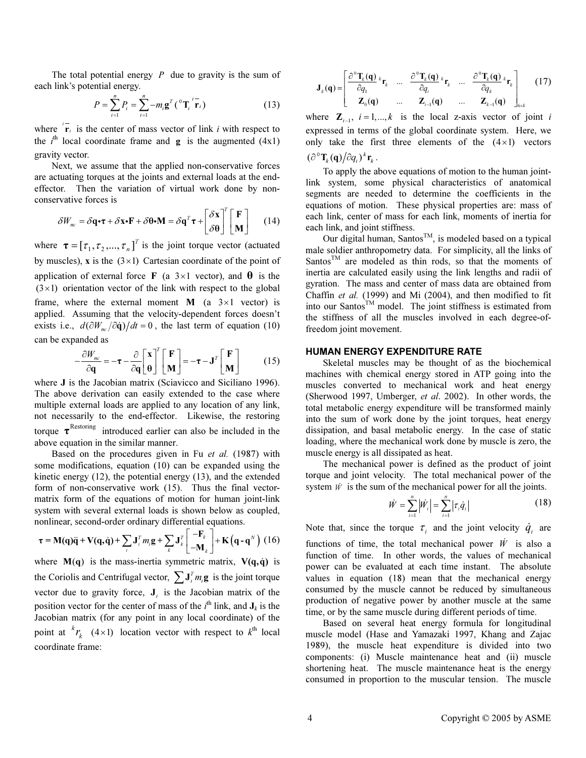The total potential energy  $P$  due to gravity is the sum of each link's potential energy.

$$
P = \sum_{i=1}^{n} P_i = \sum_{i=1}^{n} -m_i \mathbf{g}^T \left( {}^{0} \mathbf{T}_i \right) \mathbf{r}_i)
$$
 (13)

where  $\overline{r_i}$  is the center of mass vector of link *i* with respect to the  $i^{\text{th}}$  local coordinate frame and **g** is the augmented (4x1) gravity vector.

Next, we assume that the applied non-conservative forces are actuating torques at the joints and external loads at the endeffector. Then the variation of virtual work done by nonconservative forces is

$$
\delta W_{nc} = \delta \mathbf{q} \cdot \mathbf{\tau} + \delta \mathbf{x} \cdot \mathbf{F} + \delta \mathbf{\theta} \cdot \mathbf{M} = \delta \mathbf{q}^T \mathbf{\tau} + \begin{bmatrix} \delta \mathbf{x} \\ \delta \mathbf{\theta} \end{bmatrix}^T \begin{bmatrix} \mathbf{F} \\ \mathbf{M} \end{bmatrix}
$$
 (14)

where  $\boldsymbol{\tau} = [\tau_1, \tau_2, ..., \tau_n]^T$  is the joint torque vector (actuated by muscles), x is the  $(3 \times 1)$  Cartesian coordinate of the point of application of external force F (a  $3 \times 1$  vector), and  $\theta$  is the  $(3 \times 1)$  orientation vector of the link with respect to the global frame, where the external moment M (a  $3 \times 1$  vector) is applied. Assuming that the velocity-dependent forces doesn't exists i.e.,  $d(\partial W_{nc}/\partial \dot{q})/dt = 0$ , the last term of equation (10) can be expanded as

$$
-\frac{\partial W_{nc}}{\partial \mathbf{q}} = -\boldsymbol{\tau} - \frac{\partial}{\partial \mathbf{q}} \begin{bmatrix} \mathbf{x} \\ \mathbf{0} \end{bmatrix}^T \begin{bmatrix} \mathbf{F} \\ \mathbf{M} \end{bmatrix} = -\boldsymbol{\tau} - \mathbf{J}^T \begin{bmatrix} \mathbf{F} \\ \mathbf{M} \end{bmatrix}
$$
 (15)

where J is the Jacobian matrix (Sciavicco and Siciliano 1996). The above derivation can easily extended to the case where multiple external loads are applied to any location of any link, not necessarily to the end-effector. Likewise, the restoring torque  $\tau^{\text{Restoring}}$  introduced earlier can also be included in the above equation in the similar manner.

Based on the procedures given in Fu et al. (1987) with some modifications, equation (10) can be expanded using the kinetic energy (12), the potential energy (13), and the extended form of non-conservative work (15). Thus the final vectormatrix form of the equations of motion for human joint-link system with several external loads is shown below as coupled, nonlinear, second-order ordinary differential equations.

$$
\tau = \mathbf{M}(\mathbf{q})\ddot{\mathbf{q}} + \mathbf{V}(\mathbf{q}, \dot{\mathbf{q}}) + \sum_{i} \mathbf{J}_{i}^{T} m_{i} \mathbf{g} + \sum_{k} \mathbf{J}_{k}^{T} \begin{bmatrix} -\mathbf{F}_{k} \\ -\mathbf{M}_{k} \end{bmatrix} + \mathbf{K} (\mathbf{q} - \mathbf{q}^{N})
$$
 (16)  
where  $\mathbf{M}(\mathbf{q})$  is the mass-inertia symmetric matrix,  $\mathbf{V}(\mathbf{q}, \dot{\mathbf{q}})$  is

the Coriolis and Centrifugal vector,  $\sum J_i^T m_i \mathbf{g}$  is the joint torque vector due to gravity force,  $J_i$  is the Jacobian matrix of the position vector for the center of mass of the  $i^{\text{th}}$  link, and  $J_k$  is the Jacobian matrix (for any point in any local coordinate) of the point at  ${}^{k}r_{k}$  (4×1) location vector with respect to  $k^{\text{th}}$  local coordinate frame:

$$
\mathbf{J}_{k}(\mathbf{q}) = \begin{bmatrix} \frac{\partial^{0} \mathbf{T}_{k}(\mathbf{q})}{\partial q_{1}}^{k} \mathbf{r}_{k} & \dots & \frac{\partial^{0} \mathbf{T}_{k}(\mathbf{q})}{\partial q_{i}}^{k} \mathbf{r}_{k} & \dots & \frac{\partial^{0} \mathbf{T}_{k}(\mathbf{q})}{\partial q_{k}}^{k} \mathbf{r}_{k} \\ \mathbf{Z}_{0}(\mathbf{q}) & \dots & \mathbf{Z}_{i-1}(\mathbf{q}) & \dots & \mathbf{Z}_{k-1}(\mathbf{q}) \end{bmatrix}_{6 \times k}
$$
(17)

where  $\mathbf{Z}_{i-1}$ ,  $i = 1, ..., k$  is the local z-axis vector of joint i expressed in terms of the global coordinate system. Here, we only take the first three elements of the  $(4 \times 1)$  vectors  $\left(\partial^{0} \mathbf{T}_{k}(\mathbf{q})\right) \partial q_{i}\right)^{k} \mathbf{r}_{k}.$ 

To apply the above equations of motion to the human jointlink system, some physical characteristics of anatomical segments are needed to determine the coefficients in the equations of motion. These physical properties are: mass of each link, center of mass for each link, moments of inertia for each link, and joint stiffness.

Our digital human, Santos<sup>TM</sup>, is modeled based on a typical male soldier anthropometry data. For simplicity, all the links of Santos<sup>TM</sup> are modeled as thin rods, so that the moments of inertia are calculated easily using the link lengths and radii of gyration. The mass and center of mass data are obtained from Chaffin et al. (1999) and Mi (2004), and then modified to fit into our Santos<sup>TM</sup> model. The joint stiffness is estimated from the stiffness of all the muscles involved in each degree-offreedom joint movement.

#### HUMAN ENERGY EXPENDITURE RATE

Skeletal muscles may be thought of as the biochemical machines with chemical energy stored in ATP going into the muscles converted to mechanical work and heat energy (Sherwood 1997, Umberger, et al. 2002). In other words, the total metabolic energy expenditure will be transformed mainly into the sum of work done by the joint torques, heat energy dissipation, and basal metabolic energy. In the case of static loading, where the mechanical work done by muscle is zero, the muscle energy is all dissipated as heat.

The mechanical power is defined as the product of joint torque and joint velocity. The total mechanical power of the system  $\dot{W}$  is the sum of the mechanical power for all the joints.

$$
\dot{W} = \sum_{i=1}^{n} |\dot{W}_i| = \sum_{i=1}^{n} |\tau_i \dot{q}_i|
$$
 (18)

Note that, since the torque  $\tau_i$  and the joint velocity  $\dot{q}_i$  are

functions of time, the total mechanical power  $\dot{W}$  is also a function of time. In other words, the values of mechanical power can be evaluated at each time instant. The absolute values in equation (18) mean that the mechanical energy consumed by the muscle cannot be reduced by simultaneous production of negative power by another muscle at the same time, or by the same muscle during different periods of time.

Based on several heat energy formula for longitudinal muscle model (Hase and Yamazaki 1997, Khang and Zajac 1989), the muscle heat expenditure is divided into two components: (i) Muscle maintenance heat and (ii) muscle shortening heat. The muscle maintenance heat is the energy consumed in proportion to the muscular tension. The muscle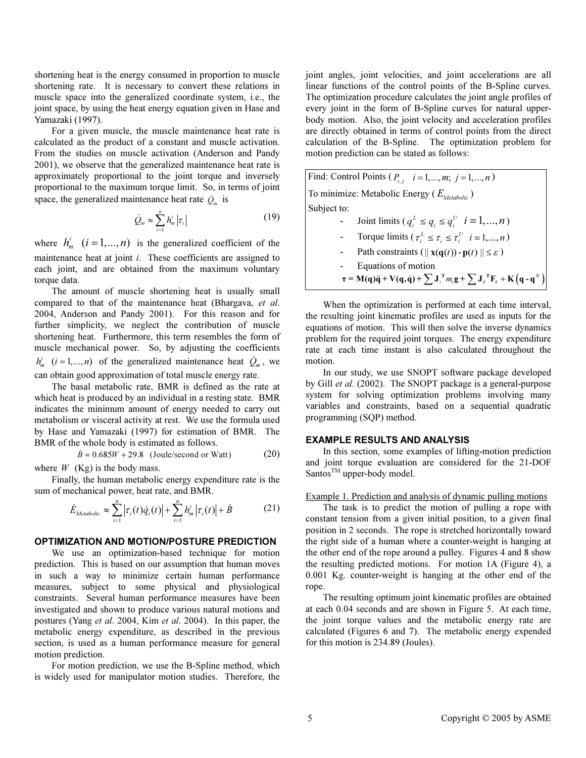shortening heat is the energy consumed in proportion to muscle shortening rate. It is necessary to convert these relations in muscle space into the generalized coordinate system, i.e., the joint space, by using the heat energy equation given in Hase and Yamazaki (1997).

For a given muscle, the muscle maintenance heat rate is calculated as the product of a constant and muscle activation. From the studies on muscle activation (Anderson and Pandy 2001), we observe that the generalized maintenance heat rate is approximately proportional to the joint torque and inversely proportional to the maximum torque limit. So, in terms of joint space, the generalized maintenance heat rate  $\dot{Q}_m$  is

$$
\dot{Q}_m \approx \sum_{i=1}^n h'_m \left| \tau_i \right| \tag{19}
$$

where  $h_m^i$   $(i = 1,..., n)$  is the generalized coefficient of the maintenance heat at joint  $i$ . These coefficients are assigned to each joint, and are obtained from the maximum voluntary torque data.

The amount of muscle shortening heat is usually small compared to that of the maintenance heat (Bhargava, et al. 2004, Anderson and Pandy 2001). For this reason and for further simplicity, we neglect the contribution of muscle shortening heat. Furthermore, this term resembles the form of muscle mechanical power. So, by adjusting the coefficients  $h_m^i$  (*i* = 1,...,*n*) of the generalized maintenance heat  $\dot{Q}_m$ , we can obtain good approximation of total muscle energy rate.

The basal metabolic rate, BMR is defined as the rate at which heat is produced by an individual in a resting state. BMR indicates the minimum amount of energy needed to carry out metabolism or visceral activity at rest. We use the formula used by Hase and Yamazaki (1997) for estimation of BMR. The BMR of the whole body is estimated as follows.

 $\dot{B} = 0.685W + 29.8$  (Joule/second or Watt) (20) where  $W$  (Kg) is the body mass.

Finally, the human metabolic energy expenditure rate is the sum of mechanical power, heat rate, and BMR.

$$
\dot{E}_{\text{Methodic}} \approx \sum_{i=1}^{n} \left| \tau_i(t) \dot{q}_i(t) \right| + \sum_{i=1}^{n} h_m^i \left| \tau_i(t) \right| + \dot{B} \tag{21}
$$

#### OPTIMIZATION AND MOTION/POSTURE PREDICTION

We use an optimization-based technique for motion prediction. This is based on our assumption that human moves in such a way to minimize certain human performance measures, subject to some physical and physiological constraints. Several human performance measures have been investigated and shown to produce various natural motions and postures (Yang et al. 2004, Kim et al. 2004). In this paper, the metabolic energy expenditure, as described in the previous section, is used as a human performance measure for general motion prediction.

For motion prediction, we use the B-Spline method, which is widely used for manipulator motion studies. Therefore, the

joint angles, joint velocities, and joint accelerations are all linear functions of the control points of the B-Spline curves. The optimization procedure calculates the joint angle profiles of every joint in the form of B-Spline curves for natural upperbody motion. Also, the joint velocity and acceleration profiles are directly obtained in terms of control points from the direct calculation of the B-Spline. The optimization problem for motion prediction can be stated as follows:

Find: Control Points  $(P_{i,j} \mid i = 1,...,m; j = 1,...,n)$ To minimize: Metabolic Energy ( $E_{Methodic}$ ) Subject to: - Joint limits ( $q_i^L \le q_i \le q_i^U$   $i = 1,...,n$ ) - Torque limits ( $\tau_i^L \leq \tau_i \leq \tau_i^U$   $i = 1,...,n$ ) Path constraints  $(|| \mathbf{x}(\mathbf{q}(t)) - \mathbf{p}(t) || \leq \varepsilon)$ Equations of motion  $\boldsymbol{\tau} = \mathbf{M}(\mathbf{q})\ddot{\mathbf{q}} + \mathbf{V}(\mathbf{q},\dot{\mathbf{q}}) + \sum \mathbf{J}_i^{\mathrm{T}}m_i\mathbf{g} + \sum \mathbf{J}_k^{\mathrm{T}}\mathbf{F}_k + \mathbf{K}(\mathbf{q} - \mathbf{q}^N)$ 

When the optimization is performed at each time interval, the resulting joint kinematic profiles are used as inputs for the equations of motion. This will then solve the inverse dynamics problem for the required joint torques. The energy expenditure rate at each time instant is also calculated throughout the motion.

In our study, we use SNOPT software package developed by Gill et al. (2002). The SNOPT package is a general-purpose system for solving optimization problems involving many variables and constraints, based on a sequential quadratic programming (SQP) method.

#### EXAMPLE RESULTS AND ANALYSIS

In this section, some examples of lifting-motion prediction and joint torque evaluation are considered for the 21-DOF  $Santos<sup>TM</sup>$  upper-body model.

#### Example 1. Prediction and analysis of dynamic pulling motions

The task is to predict the motion of pulling a rope with constant tension from a given initial position, to a given final position in 2 seconds. The rope is stretched horizontally toward the right side of a human where a counter-weight is hanging at the other end of the rope around a pulley. Figures 4 and 8 show the resulting predicted motions. For motion 1A (Figure 4), a 0.001 Kg. counter-weight is hanging at the other end of the rope.

The resulting optimum joint kinematic profiles are obtained at each 0.04 seconds and are shown in Figure 5. At each time, the joint torque values and the metabolic energy rate are calculated (Figures 6 and 7). The metabolic energy expended for this motion is 234.89 (Joules).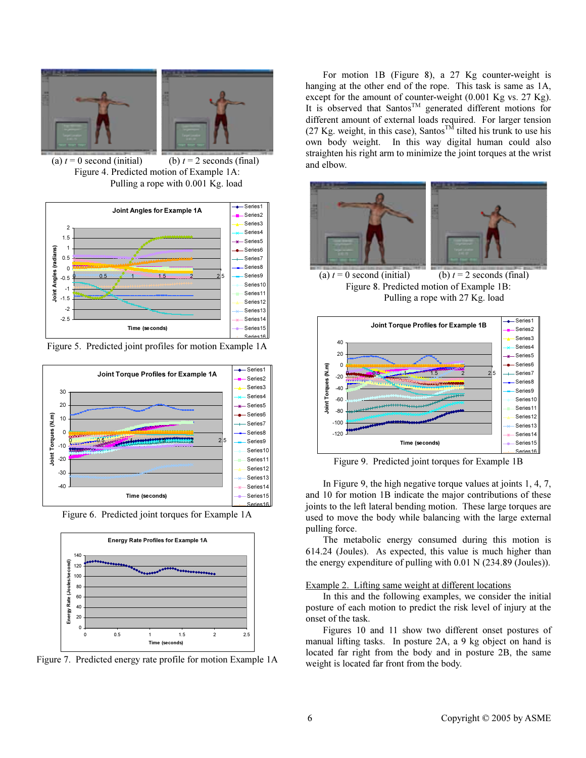

(a)  $t = 0$  second (initial) (b)  $t = 2$  seconds (final) Figure 4. Predicted motion of Example 1A: Pulling a rope with 0.001 Kg. load



Figure 5. Predicted joint profiles for motion Example 1A







Figure 7. Predicted energy rate profile for motion Example 1A

For motion 1B (Figure 8), a 27 Kg counter-weight is hanging at the other end of the rope. This task is same as 1A, except for the amount of counter-weight (0.001 Kg vs. 27 Kg). It is observed that Santos<sup>TM</sup> generated different motions for different amount of external loads required. For larger tension (27 Kg. weight, in this case), Santos<sup>TM</sup> tilted his trunk to use his own body weight. In this way digital human could also straighten his right arm to minimize the joint torques at the wrist and elbow.



(a)  $t = 0$  second (initial) (b)  $t = 2$  seconds (final) Figure 8. Predicted motion of Example 1B: Pulling a rope with 27 Kg. load



Figure 9. Predicted joint torques for Example 1B

In Figure 9, the high negative torque values at joints 1, 4, 7, and 10 for motion 1B indicate the major contributions of these joints to the left lateral bending motion. These large torques are used to move the body while balancing with the large external pulling force.

The metabolic energy consumed during this motion is 614.24 (Joules). As expected, this value is much higher than the energy expenditure of pulling with 0.01 N (234.89 (Joules)).

#### Example 2. Lifting same weight at different locations

In this and the following examples, we consider the initial posture of each motion to predict the risk level of injury at the onset of the task.

Figures 10 and 11 show two different onset postures of manual lifting tasks. In posture 2A, a 9 kg object on hand is located far right from the body and in posture 2B, the same weight is located far front from the body.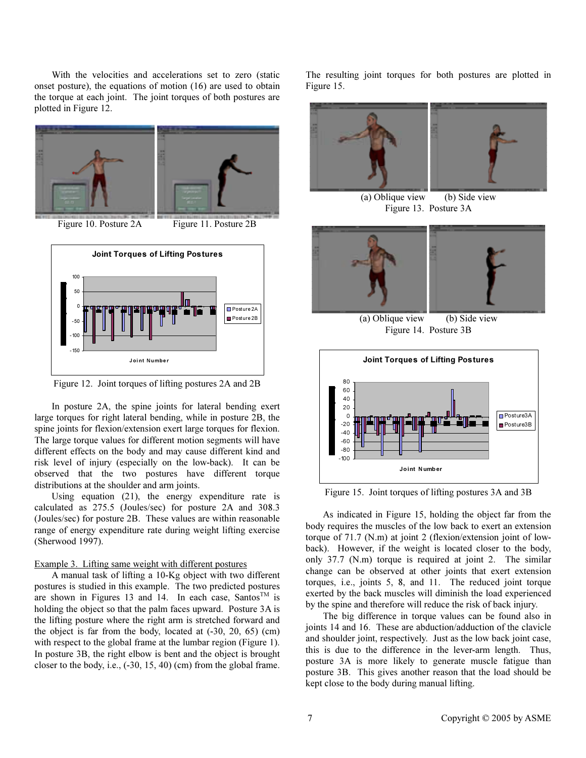With the velocities and accelerations set to zero (static onset posture), the equations of motion (16) are used to obtain the torque at each joint. The joint torques of both postures are plotted in Figure 12.



Figure 10. Posture 2A Figure 11. Posture 2B



Figure 12. Joint torques of lifting postures 2A and 2B

In posture 2A, the spine joints for lateral bending exert large torques for right lateral bending, while in posture 2B, the spine joints for flexion/extension exert large torques for flexion. The large torque values for different motion segments will have different effects on the body and may cause different kind and risk level of injury (especially on the low-back). It can be observed that the two postures have different torque distributions at the shoulder and arm joints.

Using equation (21), the energy expenditure rate is calculated as 275.5 (Joules/sec) for posture 2A and 308.3 (Joules/sec) for posture 2B. These values are within reasonable range of energy expenditure rate during weight lifting exercise (Sherwood 1997).

## Example 3. Lifting same weight with different postures

A manual task of lifting a 10-Kg object with two different postures is studied in this example. The two predicted postures are shown in Figures 13 and 14. In each case, Santos<sup>TM</sup> is holding the object so that the palm faces upward. Posture 3A is the lifting posture where the right arm is stretched forward and the object is far from the body, located at  $(-30, 20, 65)$  (cm) with respect to the global frame at the lumbar region (Figure 1). In posture 3B, the right elbow is bent and the object is brought closer to the body, i.e., (-30, 15, 40) (cm) from the global frame.

The resulting joint torques for both postures are plotted in Figure 15.



(a) Oblique view (b) Side view Figure 13. Posture 3A



(a) Oblique view (b) Side view Figure 14. Posture 3B



Figure 15. Joint torques of lifting postures 3A and 3B

As indicated in Figure 15, holding the object far from the body requires the muscles of the low back to exert an extension torque of 71.7 (N.m) at joint 2 (flexion/extension joint of lowback). However, if the weight is located closer to the body, only 37.7 (N.m) torque is required at joint 2. The similar change can be observed at other joints that exert extension torques, i.e., joints 5, 8, and 11. The reduced joint torque exerted by the back muscles will diminish the load experienced by the spine and therefore will reduce the risk of back injury.

The big difference in torque values can be found also in joints 14 and 16. These are abduction/adduction of the clavicle and shoulder joint, respectively. Just as the low back joint case, this is due to the difference in the lever-arm length. Thus, posture 3A is more likely to generate muscle fatigue than posture 3B. This gives another reason that the load should be kept close to the body during manual lifting.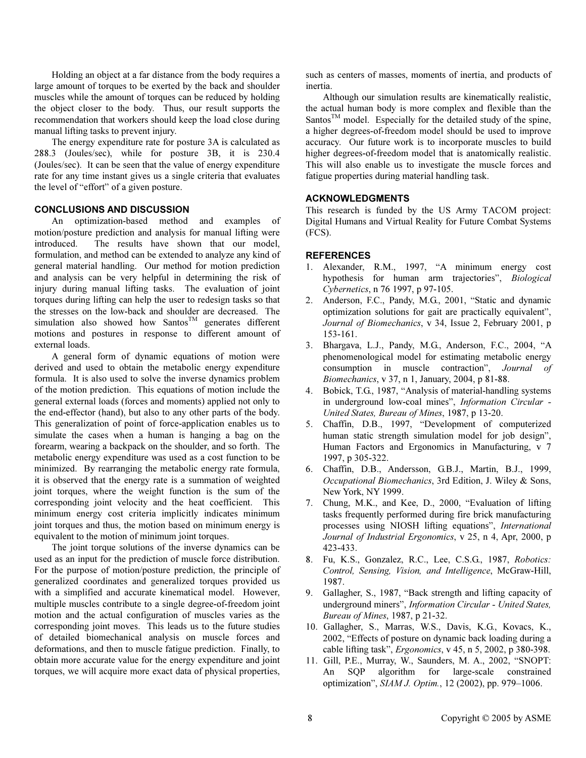Holding an object at a far distance from the body requires a large amount of torques to be exerted by the back and shoulder muscles while the amount of torques can be reduced by holding the object closer to the body. Thus, our result supports the recommendation that workers should keep the load close during manual lifting tasks to prevent injury.

The energy expenditure rate for posture 3A is calculated as 288.3 (Joules/sec), while for posture 3B, it is 230.4 (Joules/sec). It can be seen that the value of energy expenditure rate for any time instant gives us a single criteria that evaluates the level of "effort" of a given posture.

#### CONCLUSIONS AND DISCUSSION

An optimization-based method and examples of motion/posture prediction and analysis for manual lifting were introduced. The results have shown that our model, formulation, and method can be extended to analyze any kind of general material handling. Our method for motion prediction and analysis can be very helpful in determining the risk of injury during manual lifting tasks. The evaluation of joint torques during lifting can help the user to redesign tasks so that the stresses on the low-back and shoulder are decreased. The simulation also showed how Santos<sup>TM</sup> generates different motions and postures in response to different amount of external loads.

A general form of dynamic equations of motion were derived and used to obtain the metabolic energy expenditure formula. It is also used to solve the inverse dynamics problem of the motion prediction. This equations of motion include the general external loads (forces and moments) applied not only to the end-effector (hand), but also to any other parts of the body. This generalization of point of force-application enables us to simulate the cases when a human is hanging a bag on the forearm, wearing a backpack on the shoulder, and so forth. The metabolic energy expenditure was used as a cost function to be minimized. By rearranging the metabolic energy rate formula, it is observed that the energy rate is a summation of weighted joint torques, where the weight function is the sum of the corresponding joint velocity and the heat coefficient. This minimum energy cost criteria implicitly indicates minimum joint torques and thus, the motion based on minimum energy is equivalent to the motion of minimum joint torques.

The joint torque solutions of the inverse dynamics can be used as an input for the prediction of muscle force distribution. For the purpose of motion/posture prediction, the principle of generalized coordinates and generalized torques provided us with a simplified and accurate kinematical model. However, multiple muscles contribute to a single degree-of-freedom joint motion and the actual configuration of muscles varies as the corresponding joint moves. This leads us to the future studies of detailed biomechanical analysis on muscle forces and deformations, and then to muscle fatigue prediction. Finally, to obtain more accurate value for the energy expenditure and joint torques, we will acquire more exact data of physical properties,

such as centers of masses, moments of inertia, and products of inertia.

Although our simulation results are kinematically realistic, the actual human body is more complex and flexible than the Santos<sup>TM</sup> model. Especially for the detailed study of the spine, a higher degrees-of-freedom model should be used to improve accuracy. Our future work is to incorporate muscles to build higher degrees-of-freedom model that is anatomically realistic. This will also enable us to investigate the muscle forces and fatigue properties during material handling task.

#### ACKNOWLEDGMENTS

This research is funded by the US Army TACOM project: Digital Humans and Virtual Reality for Future Combat Systems (FCS).

#### **REFERENCES**

- 1. Alexander, R.M., 1997, "A minimum energy cost hypothesis for human arm trajectories", Biological Cybernetics, n 76 1997, p 97-105.
- 2. Anderson, F.C., Pandy, M.G., 2001, "Static and dynamic optimization solutions for gait are practically equivalent", Journal of Biomechanics, v 34, Issue 2, February 2001, p 153-161.
- 3. Bhargava, L.J., Pandy, M.G., Anderson, F.C., 2004, "A phenomenological model for estimating metabolic energy consumption in muscle contraction", Journal of Biomechanics, v 37, n 1, January, 2004, p 81-88.
- 4. Bobick, T.G., 1987, "Analysis of material-handling systems in underground low-coal mines", Information Circular - United States, Bureau of Mines, 1987, p 13-20.
- 5. Chaffin, D.B., 1997, "Development of computerized human static strength simulation model for job design", Human Factors and Ergonomics in Manufacturing, v 7 1997, p 305-322.
- 6. Chaffin, D.B., Andersson, G.B.J., Martin, B.J., 1999, Occupational Biomechanics, 3rd Edition, J. Wiley & Sons, New York, NY 1999.
- 7. Chung, M.K., and Kee, D., 2000, "Evaluation of lifting tasks frequently performed during fire brick manufacturing processes using NIOSH lifting equations", International Journal of Industrial Ergonomics, v 25, n 4, Apr, 2000, p 423-433.
- 8. Fu, K.S., Gonzalez, R.C., Lee, C.S.G., 1987, Robotics: Control, Sensing, Vision, and Intelligence, McGraw-Hill, 1987.
- 9. Gallagher, S., 1987, "Back strength and lifting capacity of underground miners", Information Circular - United States, Bureau of Mines, 1987, p 21-32.
- 10. Gallagher, S., Marras, W.S., Davis, K.G., Kovacs, K., 2002, "Effects of posture on dynamic back loading during a cable lifting task", Ergonomics, v 45, n 5, 2002, p 380-398.
- 11. Gill, P.E., Murray, W., Saunders, M. A., 2002, "SNOPT: An SQP algorithm for large-scale constrained optimization", SIAM J. Optim., 12 (2002), pp. 979–1006.